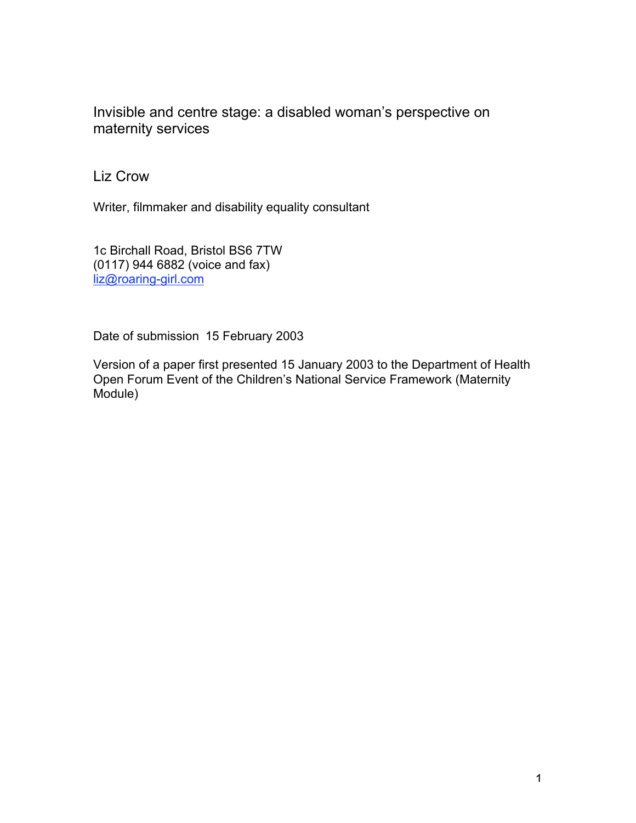Invisible and centre stage: a disabled woman's perspective on maternity services

Liz Crow

Writer, filmmaker and disability equality consultant

1c Birchall Road, Bristol BS6 7TW (0117) 944 6882 (voice and fax) liz@roaring-girl.com

Date of submission 15 February 2003

Version of a paper first presented 15 January 2003 to the Department of Health Open Forum Event of the Children's National Service Framework (Maternity Module)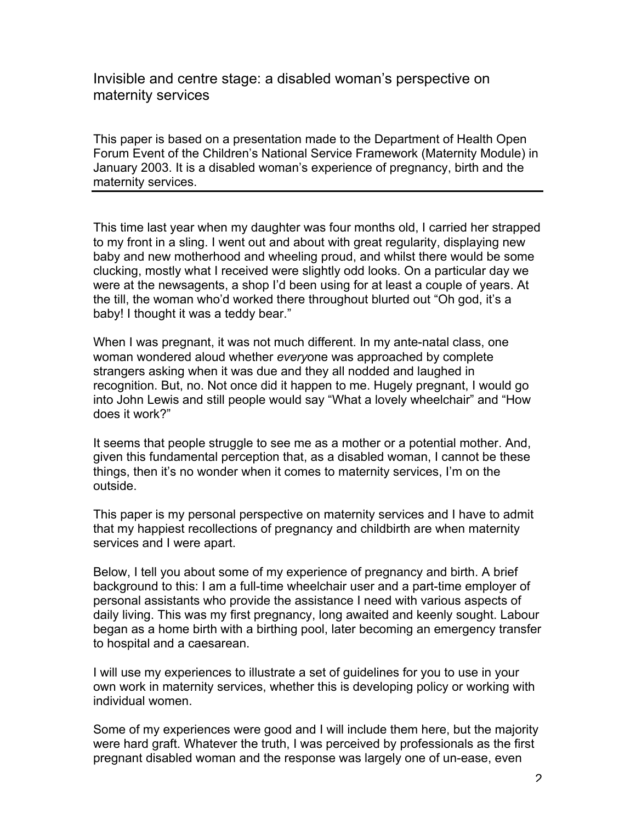Invisible and centre stage: a disabled woman's perspective on maternity services

This paper is based on a presentation made to the Department of Health Open Forum Event of the Children's National Service Framework (Maternity Module) in January 2003. It is a disabled woman's experience of pregnancy, birth and the maternity services.

This time last year when my daughter was four months old, I carried her strapped to my front in a sling. I went out and about with great regularity, displaying new baby and new motherhood and wheeling proud, and whilst there would be some clucking, mostly what I received were slightly odd looks. On a particular day we were at the newsagents, a shop I'd been using for at least a couple of years. At the till, the woman who'd worked there throughout blurted out "Oh god, it's a baby! I thought it was a teddy bear."

When I was pregnant, it was not much different. In my ante-natal class, one woman wondered aloud whether *every*one was approached by complete strangers asking when it was due and they all nodded and laughed in recognition. But, no. Not once did it happen to me. Hugely pregnant, I would go into John Lewis and still people would say "What a lovely wheelchair" and "How does it work?"

It seems that people struggle to see me as a mother or a potential mother. And, given this fundamental perception that, as a disabled woman, I cannot be these things, then it's no wonder when it comes to maternity services, I'm on the outside.

This paper is my personal perspective on maternity services and I have to admit that my happiest recollections of pregnancy and childbirth are when maternity services and I were apart.

Below, I tell you about some of my experience of pregnancy and birth. A brief background to this: I am a full-time wheelchair user and a part-time employer of personal assistants who provide the assistance I need with various aspects of daily living. This was my first pregnancy, long awaited and keenly sought. Labour began as a home birth with a birthing pool, later becoming an emergency transfer to hospital and a caesarean.

I will use my experiences to illustrate a set of guidelines for you to use in your own work in maternity services, whether this is developing policy or working with individual women.

Some of my experiences were good and I will include them here, but the majority were hard graft. Whatever the truth, I was perceived by professionals as the first pregnant disabled woman and the response was largely one of un-ease, even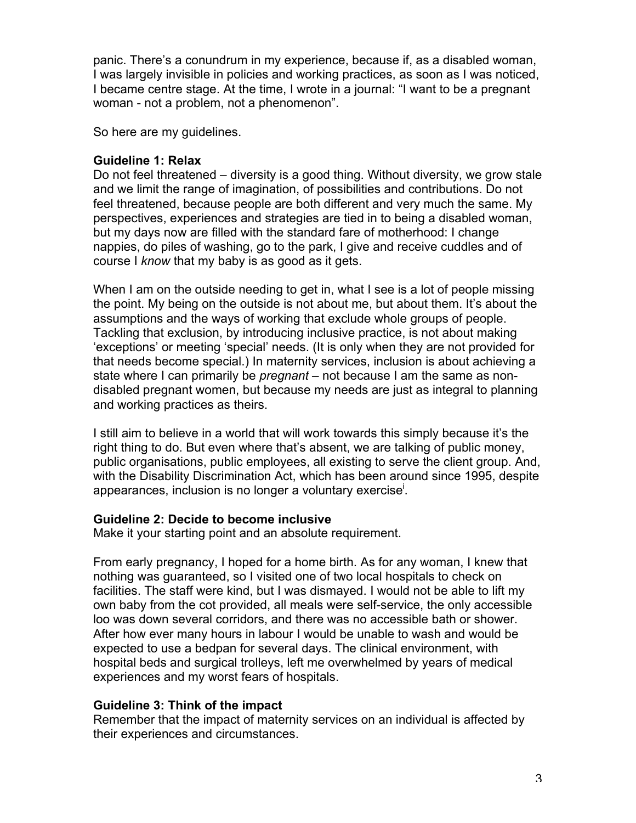panic. There's a conundrum in my experience, because if, as a disabled woman, I was largely invisible in policies and working practices, as soon as I was noticed, I became centre stage. At the time, I wrote in a journal: "I want to be a pregnant woman - not a problem, not a phenomenon".

So here are my guidelines.

## **Guideline 1: Relax**

Do not feel threatened – diversity is a good thing. Without diversity, we grow stale and we limit the range of imagination, of possibilities and contributions. Do not feel threatened, because people are both different and very much the same. My perspectives, experiences and strategies are tied in to being a disabled woman, but my days now are filled with the standard fare of motherhood: I change nappies, do piles of washing, go to the park, I give and receive cuddles and of course I *know* that my baby is as good as it gets.

When I am on the outside needing to get in, what I see is a lot of people missing the point. My being on the outside is not about me, but about them. It's about the assumptions and the ways of working that exclude whole groups of people. Tackling that exclusion, by introducing inclusive practice, is not about making 'exceptions' or meeting 'special' needs. (It is only when they are not provided for that needs become special.) In maternity services, inclusion is about achieving a state where I can primarily be *pregnant* – not because I am the same as nondisabled pregnant women, but because my needs are just as integral to planning and working practices as theirs.

I still aim to believe in a world that will work towards this simply because it's the right thing to do. But even where that's absent, we are talking of public money, public organisations, public employees, all existing to serve the client group. And, with the Disability Discrimination Act, which has been around since 1995, despite appearances, inclusion is no longer a voluntary exercise<sup>i</sup>.

## **Guideline 2: Decide to become inclusive**

Make it your starting point and an absolute requirement.

From early pregnancy, I hoped for a home birth. As for any woman, I knew that nothing was guaranteed, so I visited one of two local hospitals to check on facilities. The staff were kind, but I was dismayed. I would not be able to lift my own baby from the cot provided, all meals were self-service, the only accessible loo was down several corridors, and there was no accessible bath or shower. After how ever many hours in labour I would be unable to wash and would be expected to use a bedpan for several days. The clinical environment, with hospital beds and surgical trolleys, left me overwhelmed by years of medical experiences and my worst fears of hospitals.

## **Guideline 3: Think of the impact**

Remember that the impact of maternity services on an individual is affected by their experiences and circumstances.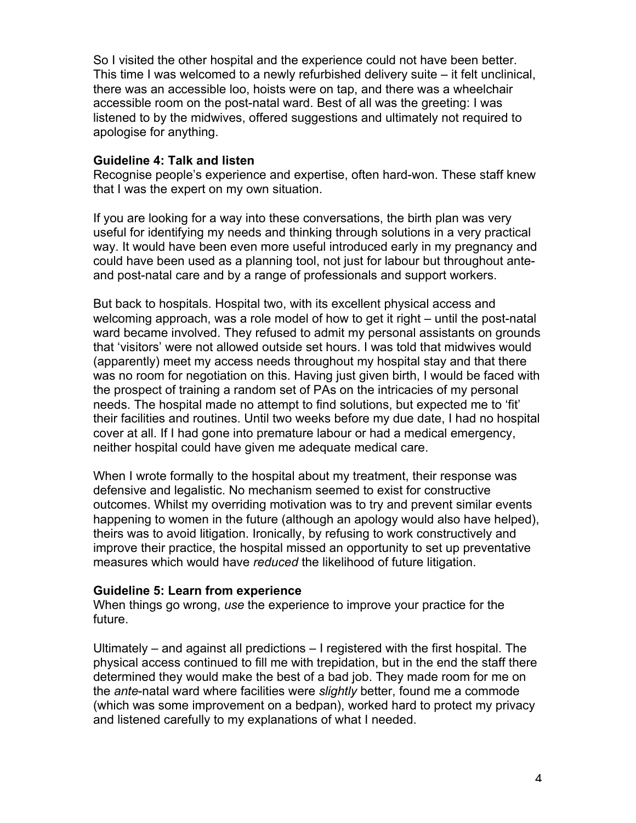So I visited the other hospital and the experience could not have been better. This time I was welcomed to a newly refurbished delivery suite – it felt unclinical, there was an accessible loo, hoists were on tap, and there was a wheelchair accessible room on the post-natal ward. Best of all was the greeting: I was listened to by the midwives, offered suggestions and ultimately not required to apologise for anything.

## **Guideline 4: Talk and listen**

Recognise people's experience and expertise, often hard-won. These staff knew that I was the expert on my own situation.

If you are looking for a way into these conversations, the birth plan was very useful for identifying my needs and thinking through solutions in a very practical way. It would have been even more useful introduced early in my pregnancy and could have been used as a planning tool, not just for labour but throughout anteand post-natal care and by a range of professionals and support workers.

But back to hospitals. Hospital two, with its excellent physical access and welcoming approach, was a role model of how to get it right – until the post-natal ward became involved. They refused to admit my personal assistants on grounds that 'visitors' were not allowed outside set hours. I was told that midwives would (apparently) meet my access needs throughout my hospital stay and that there was no room for negotiation on this. Having just given birth, I would be faced with the prospect of training a random set of PAs on the intricacies of my personal needs. The hospital made no attempt to find solutions, but expected me to 'fit' their facilities and routines. Until two weeks before my due date, I had no hospital cover at all. If I had gone into premature labour or had a medical emergency, neither hospital could have given me adequate medical care.

When I wrote formally to the hospital about my treatment, their response was defensive and legalistic. No mechanism seemed to exist for constructive outcomes. Whilst my overriding motivation was to try and prevent similar events happening to women in the future (although an apology would also have helped), theirs was to avoid litigation. Ironically, by refusing to work constructively and improve their practice, the hospital missed an opportunity to set up preventative measures which would have *reduced* the likelihood of future litigation.

#### **Guideline 5: Learn from experience**

When things go wrong, *use* the experience to improve your practice for the future.

Ultimately – and against all predictions – I registered with the first hospital. The physical access continued to fill me with trepidation, but in the end the staff there determined they would make the best of a bad job. They made room for me on the *ante*-natal ward where facilities were *slightly* better, found me a commode (which was some improvement on a bedpan), worked hard to protect my privacy and listened carefully to my explanations of what I needed.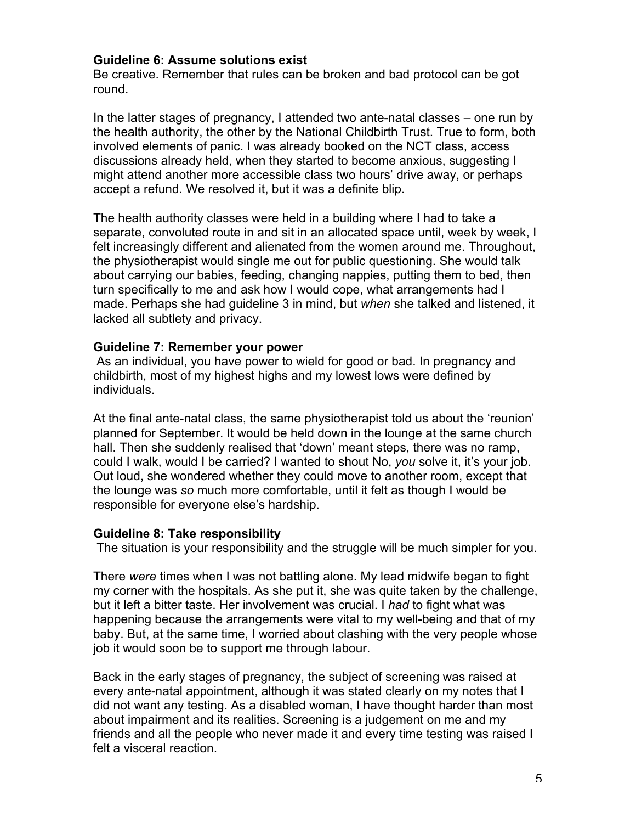### **Guideline 6: Assume solutions exist**

Be creative. Remember that rules can be broken and bad protocol can be got round.

In the latter stages of pregnancy, I attended two ante-natal classes – one run by the health authority, the other by the National Childbirth Trust. True to form, both involved elements of panic. I was already booked on the NCT class, access discussions already held, when they started to become anxious, suggesting I might attend another more accessible class two hours' drive away, or perhaps accept a refund. We resolved it, but it was a definite blip.

The health authority classes were held in a building where I had to take a separate, convoluted route in and sit in an allocated space until, week by week, I felt increasingly different and alienated from the women around me. Throughout, the physiotherapist would single me out for public questioning. She would talk about carrying our babies, feeding, changing nappies, putting them to bed, then turn specifically to me and ask how I would cope, what arrangements had I made. Perhaps she had guideline 3 in mind, but *when* she talked and listened, it lacked all subtlety and privacy.

#### **Guideline 7: Remember your power**

 As an individual, you have power to wield for good or bad. In pregnancy and childbirth, most of my highest highs and my lowest lows were defined by individuals.

At the final ante-natal class, the same physiotherapist told us about the 'reunion' planned for September. It would be held down in the lounge at the same church hall. Then she suddenly realised that 'down' meant steps, there was no ramp, could I walk, would I be carried? I wanted to shout No, *you* solve it, it's your job. Out loud, she wondered whether they could move to another room, except that the lounge was *so* much more comfortable, until it felt as though I would be responsible for everyone else's hardship.

#### **Guideline 8: Take responsibility**

The situation is your responsibility and the struggle will be much simpler for you.

There *were* times when I was not battling alone. My lead midwife began to fight my corner with the hospitals. As she put it, she was quite taken by the challenge, but it left a bitter taste. Her involvement was crucial. I *had* to fight what was happening because the arrangements were vital to my well-being and that of my baby. But, at the same time, I worried about clashing with the very people whose job it would soon be to support me through labour.

Back in the early stages of pregnancy, the subject of screening was raised at every ante-natal appointment, although it was stated clearly on my notes that I did not want any testing. As a disabled woman, I have thought harder than most about impairment and its realities. Screening is a judgement on me and my friends and all the people who never made it and every time testing was raised I felt a visceral reaction.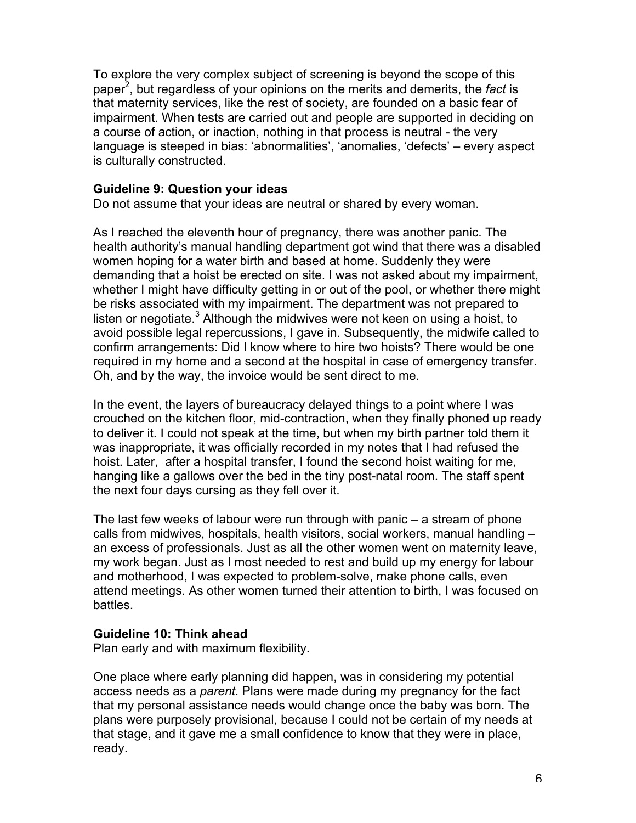To explore the very complex subject of screening is beyond the scope of this paper<sup>2</sup>, but regardless of your opinions on the merits and demerits, the fact is that maternity services, like the rest of society, are founded on a basic fear of impairment. When tests are carried out and people are supported in deciding on a course of action, or inaction, nothing in that process is neutral - the very language is steeped in bias: 'abnormalities', 'anomalies, 'defects' – every aspect is culturally constructed.

## **Guideline 9: Question your ideas**

Do not assume that your ideas are neutral or shared by every woman.

As I reached the eleventh hour of pregnancy, there was another panic. The health authority's manual handling department got wind that there was a disabled women hoping for a water birth and based at home. Suddenly they were demanding that a hoist be erected on site. I was not asked about my impairment, whether I might have difficulty getting in or out of the pool, or whether there might be risks associated with my impairment. The department was not prepared to listen or negotiate. $3$  Although the midwives were not keen on using a hoist, to avoid possible legal repercussions, I gave in. Subsequently, the midwife called to confirm arrangements: Did I know where to hire two hoists? There would be one required in my home and a second at the hospital in case of emergency transfer. Oh, and by the way, the invoice would be sent direct to me.

In the event, the layers of bureaucracy delayed things to a point where I was crouched on the kitchen floor, mid-contraction, when they finally phoned up ready to deliver it. I could not speak at the time, but when my birth partner told them it was inappropriate, it was officially recorded in my notes that I had refused the hoist. Later, after a hospital transfer, I found the second hoist waiting for me, hanging like a gallows over the bed in the tiny post-natal room. The staff spent the next four days cursing as they fell over it.

The last few weeks of labour were run through with panic – a stream of phone calls from midwives, hospitals, health visitors, social workers, manual handling – an excess of professionals. Just as all the other women went on maternity leave, my work began. Just as I most needed to rest and build up my energy for labour and motherhood, I was expected to problem-solve, make phone calls, even attend meetings. As other women turned their attention to birth, I was focused on battles.

## **Guideline 10: Think ahead**

Plan early and with maximum flexibility.

One place where early planning did happen, was in considering my potential access needs as a *parent*. Plans were made during my pregnancy for the fact that my personal assistance needs would change once the baby was born. The plans were purposely provisional, because I could not be certain of my needs at that stage, and it gave me a small confidence to know that they were in place, ready.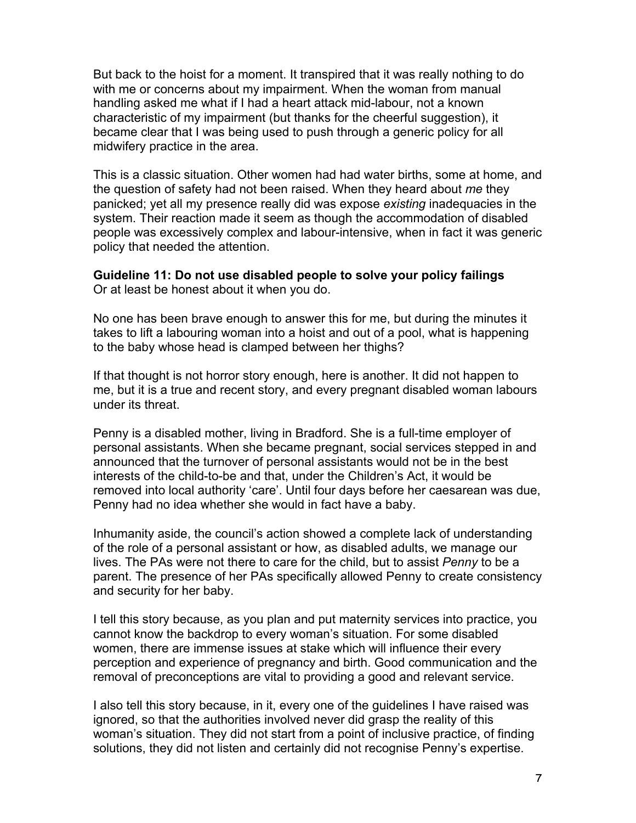But back to the hoist for a moment. It transpired that it was really nothing to do with me or concerns about my impairment. When the woman from manual handling asked me what if I had a heart attack mid-labour, not a known characteristic of my impairment (but thanks for the cheerful suggestion), it became clear that I was being used to push through a generic policy for all midwifery practice in the area.

This is a classic situation. Other women had had water births, some at home, and the question of safety had not been raised. When they heard about *me* they panicked; yet all my presence really did was expose *existing* inadequacies in the system. Their reaction made it seem as though the accommodation of disabled people was excessively complex and labour-intensive, when in fact it was generic policy that needed the attention.

**Guideline 11: Do not use disabled people to solve your policy failings** Or at least be honest about it when you do.

No one has been brave enough to answer this for me, but during the minutes it takes to lift a labouring woman into a hoist and out of a pool, what is happening to the baby whose head is clamped between her thighs?

If that thought is not horror story enough, here is another. It did not happen to me, but it is a true and recent story, and every pregnant disabled woman labours under its threat.

Penny is a disabled mother, living in Bradford. She is a full-time employer of personal assistants. When she became pregnant, social services stepped in and announced that the turnover of personal assistants would not be in the best interests of the child-to-be and that, under the Children's Act, it would be removed into local authority 'care'. Until four days before her caesarean was due, Penny had no idea whether she would in fact have a baby.

Inhumanity aside, the council's action showed a complete lack of understanding of the role of a personal assistant or how, as disabled adults, we manage our lives. The PAs were not there to care for the child, but to assist *Penny* to be a parent. The presence of her PAs specifically allowed Penny to create consistency and security for her baby.

I tell this story because, as you plan and put maternity services into practice, you cannot know the backdrop to every woman's situation. For some disabled women, there are immense issues at stake which will influence their every perception and experience of pregnancy and birth. Good communication and the removal of preconceptions are vital to providing a good and relevant service.

I also tell this story because, in it, every one of the guidelines I have raised was ignored, so that the authorities involved never did grasp the reality of this woman's situation. They did not start from a point of inclusive practice, of finding solutions, they did not listen and certainly did not recognise Penny's expertise.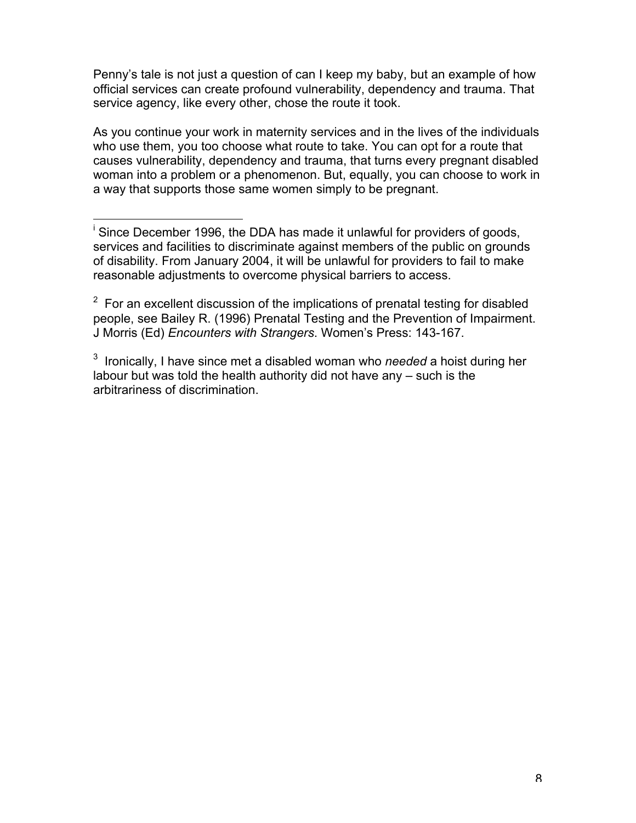Penny's tale is not just a question of can I keep my baby, but an example of how official services can create profound vulnerability, dependency and trauma. That service agency, like every other, chose the route it took.

As you continue your work in maternity services and in the lives of the individuals who use them, you too choose what route to take. You can opt for a route that causes vulnerability, dependency and trauma, that turns every pregnant disabled woman into a problem or a phenomenon. But, equally, you can choose to work in a way that supports those same women simply to be pregnant.

<sup>.&</sup>lt;br>i <sup>i</sup> Since December 1996, the DDA has made it unlawful for providers of goods, services and facilities to discriminate against members of the public on grounds of disability. From January 2004, it will be unlawful for providers to fail to make reasonable adjustments to overcome physical barriers to access.

 $2$  For an excellent discussion of the implications of prenatal testing for disabled people, see Bailey R. (1996) Prenatal Testing and the Prevention of Impairment. J Morris (Ed) *Encounters with Strangers*. Women's Press: 143-167.

<sup>3</sup> Ironically, I have since met a disabled woman who *needed* a hoist during her labour but was told the health authority did not have any – such is the arbitrariness of discrimination.